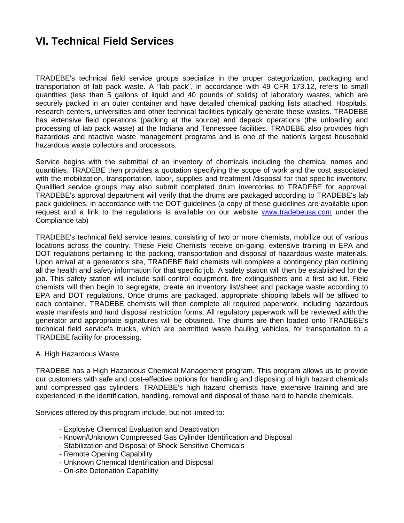# **VI. Technical Field Services**

TRADEBE's technical field service groups specialize in the proper categorization, packaging and transportation of lab pack waste. A "lab pack", in accordance with 49 CFR 173.12, refers to small quantities (less than 5 gallons of liquid and 40 pounds of solids) of laboratory wastes, which are securely packed in an outer container and have detailed chemical packing lists attached. Hospitals, research centers, universities and other technical facilities typically generate these wastes. TRADEBE has extensive field operations (packing at the source) and depack operations (the unloading and processing of lab pack waste) at the Indiana and Tennessee facilities. TRADEBE also provides high hazardous and reactive waste management programs and is one of the nation's largest household hazardous waste collectors and processors.

Service begins with the submittal of an inventory of chemicals including the chemical names and quantities. TRADEBE then provides a quotation specifying the scope of work and the cost associated with the mobilization, transportation, labor, supplies and treatment /disposal for that specific inventory. Qualified service groups may also submit completed drum inventories to TRADEBE for approval. TRADEBE's approval department will verify that the drums are packaged according to TRADEBE's lab pack guidelines, in accordance with the DOT guidelines (a copy of these guidelines are available upon request and a link to the regulations is available on our website [www.tradebeusa.com](http://www.tradebeusa.com/) under the Compliance tab)

TRADEBE's technical field service teams, consisting of two or more chemists, mobilize out of various locations across the country. These Field Chemists receive on-going, extensive training in EPA and DOT regulations pertaining to the packing, transportation and disposal of hazardous waste materials. Upon arrival at a generator's site, TRADEBE field chemists will complete a contingency plan outlining all the health and safety information for that specific job. A safety station will then be established for the job. This safety station will include spill control equipment, fire extinguishers and a first aid kit. Field chemists will then begin to segregate, create an inventory list/sheet and package waste according to EPA and DOT regulations. Once drums are packaged, appropriate shipping labels will be affixed to each container. TRADEBE chemists will then complete all required paperwork, including hazardous waste manifests and land disposal restriction forms. All regulatory paperwork will be reviewed with the generator and appropriate signatures will be obtained. The drums are then loaded onto TRADEBE's technical field service's trucks, which are permitted waste hauling vehicles, for transportation to a TRADEBE facility for processing.

## A. High Hazardous Waste

TRADEBE has a High Hazardous Chemical Management program. This program allows us to provide our customers with safe and cost-effective options for handling and disposing of high hazard chemicals and compressed gas cylinders. TRADEBE's high hazard chemists have extensive training and are experienced in the identification, handling, removal and disposal of these hard to handle chemicals.

Services offered by this program include, but not limited to:

- Explosive Chemical Evaluation and Deactivation
- Known/Unknown Compressed Gas Cylinder Identification and Disposal
- Stabilization and Disposal of Shock Sensitive Chemicals
- Remote Opening Capability
- Unknown Chemical Identification and Disposal
- On-site Detonation Capability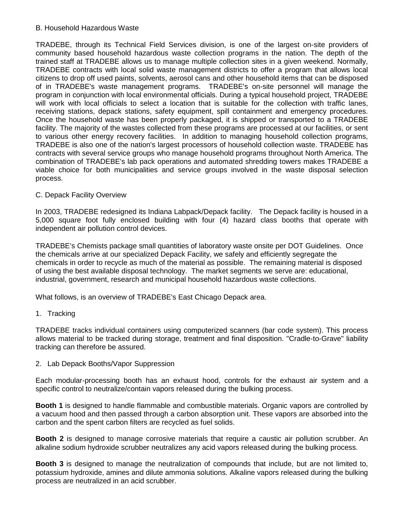## B. Household Hazardous Waste

TRADEBE, through its Technical Field Services division, is one of the largest on-site providers of community based household hazardous waste collection programs in the nation. The depth of the trained staff at TRADEBE allows us to manage multiple collection sites in a given weekend. Normally, TRADEBE contracts with local solid waste management districts to offer a program that allows local citizens to drop off used paints, solvents, aerosol cans and other household items that can be disposed of in TRADEBE's waste management programs. TRADEBE's on-site personnel will manage the program in conjunction with local environmental officials. During a typical household project, TRADEBE will work with local officials to select a location that is suitable for the collection with traffic lanes, receiving stations, depack stations, safety equipment, spill containment and emergency procedures. Once the household waste has been properly packaged, it is shipped or transported to a TRADEBE facility. The majority of the wastes collected from these programs are processed at our facilities, or sent to various other energy recovery facilities. In addition to managing household collection programs, TRADEBE is also one of the nation's largest processors of household collection waste. TRADEBE has contracts with several service groups who manage household programs throughout North America. The combination of TRADEBE's lab pack operations and automated shredding towers makes TRADEBE a viable choice for both municipalities and service groups involved in the waste disposal selection process.

## C. Depack Facility Overview

In 2003, TRADEBE redesigned its Indiana Labpack/Depack facility. The Depack facility is housed in a 5,000 square foot fully enclosed building with four (4) hazard class booths that operate with independent air pollution control devices.

TRADEBE's Chemists package small quantities of laboratory waste onsite per DOT Guidelines. Once the chemicals arrive at our specialized Depack Facility, we safely and efficiently segregate the chemicals in order to recycle as much of the material as possible. The remaining material is disposed of using the best available disposal technology. The market segments we serve are: educational, industrial, government, research and municipal household hazardous waste collections.

What follows, is an overview of TRADEBE's East Chicago Depack area.

#### 1. Tracking

TRADEBE tracks individual containers using computerized scanners (bar code system). This process allows material to be tracked during storage, treatment and final disposition. "Cradle-to-Grave" liability tracking can therefore be assured.

#### 2. Lab Depack Booths/Vapor Suppression

Each modular-processing booth has an exhaust hood, controls for the exhaust air system and a specific control to neutralize/contain vapors released during the bulking process.

**Booth 1** is designed to handle flammable and combustible materials. Organic vapors are controlled by a vacuum hood and then passed through a carbon absorption unit. These vapors are absorbed into the carbon and the spent carbon filters are recycled as fuel solids.

**Booth 2** is designed to manage corrosive materials that require a caustic air pollution scrubber. An alkaline sodium hydroxide scrubber neutralizes any acid vapors released during the bulking process.

**Booth 3** is designed to manage the neutralization of compounds that include, but are not limited to, potassium hydroxide, amines and dilute ammonia solutions. Alkaline vapors released during the bulking process are neutralized in an acid scrubber.